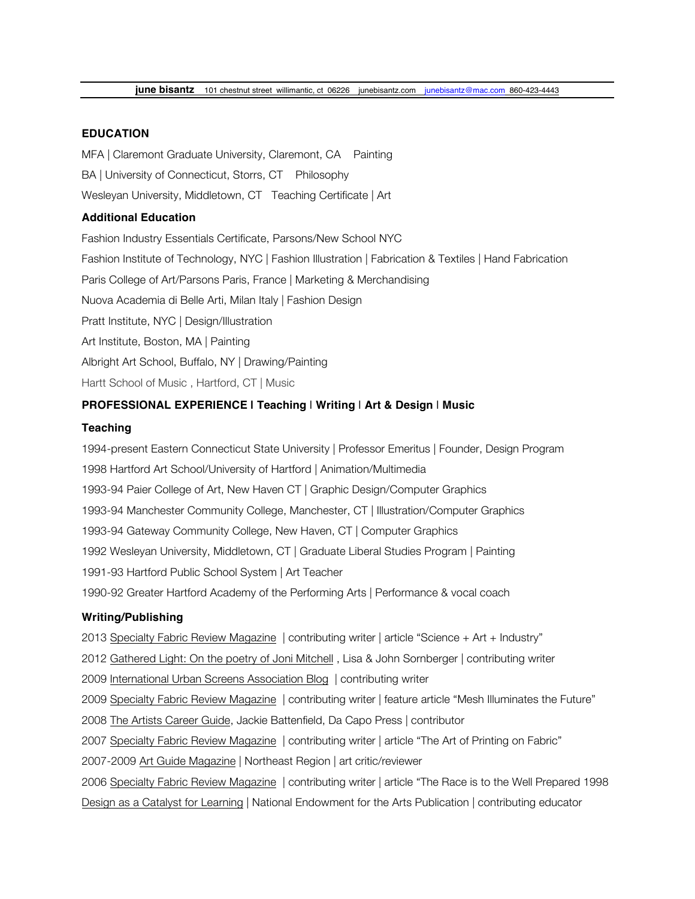## **EDUCATION**

MFA | Claremont Graduate University, Claremont, CA Painting

BA | University of Connecticut, Storrs, CT Philosophy

Wesleyan University, Middletown, CT Teaching Certificate | Art

## **Additional Education**

Fashion Industry Essentials Certificate, Parsons/New School NYC Fashion Institute of Technology, NYC | Fashion Illustration | Fabrication & Textiles | Hand Fabrication Paris College of Art/Parsons Paris, France | Marketing & Merchandising Nuova Academia di Belle Arti, Milan Italy | Fashion Design Pratt Institute, NYC | Design/Illustration Art Institute, Boston, MA | Painting Albright Art School, Buffalo, NY | Drawing/Painting

Hartt School of Music , Hartford, CT | Music

# **PROFESSIONAL EXPERIENCE | Teaching** | **Writing** | **Art & Design** | **Music**

#### **Teaching**

1994-present Eastern Connecticut State University | Professor Emeritus | Founder, Design Program 1998 Hartford Art School/University of Hartford | Animation/Multimedia 1993-94 Paier College of Art, New Haven CT | Graphic Design/Computer Graphics 1993-94 Manchester Community College, Manchester, CT | Illustration/Computer Graphics 1993-94 Gateway Community College, New Haven, CT | Computer Graphics 1992 Wesleyan University, Middletown, CT | Graduate Liberal Studies Program | Painting 1991-93 Hartford Public School System | Art Teacher 1990-92 Greater Hartford Academy of the Performing Arts | Performance & vocal coach

# **Writing/Publishing**

2013 Specialty Fabric Review Magazine | contributing writer | article "Science + Art + Industry"

2012 Gathered Light: On the poetry of Joni Mitchell , Lisa & John Sornberger | contributing writer

2009 International Urban Screens Association Blog | contributing writer

2009 Specialty Fabric Review Magazine | contributing writer | feature article "Mesh Illuminates the Future"

2008 The Artists Career Guide, Jackie Battenfield, Da Capo Press | contributor

2007 Specialty Fabric Review Magazine | contributing writer | article "The Art of Printing on Fabric"

2007-2009 Art Guide Magazine | Northeast Region | art critic/reviewer

2006 Specialty Fabric Review Magazine | contributing writer | article "The Race is to the Well Prepared 1998 Design as a Catalyst for Learning | National Endowment for the Arts Publication | contributing educator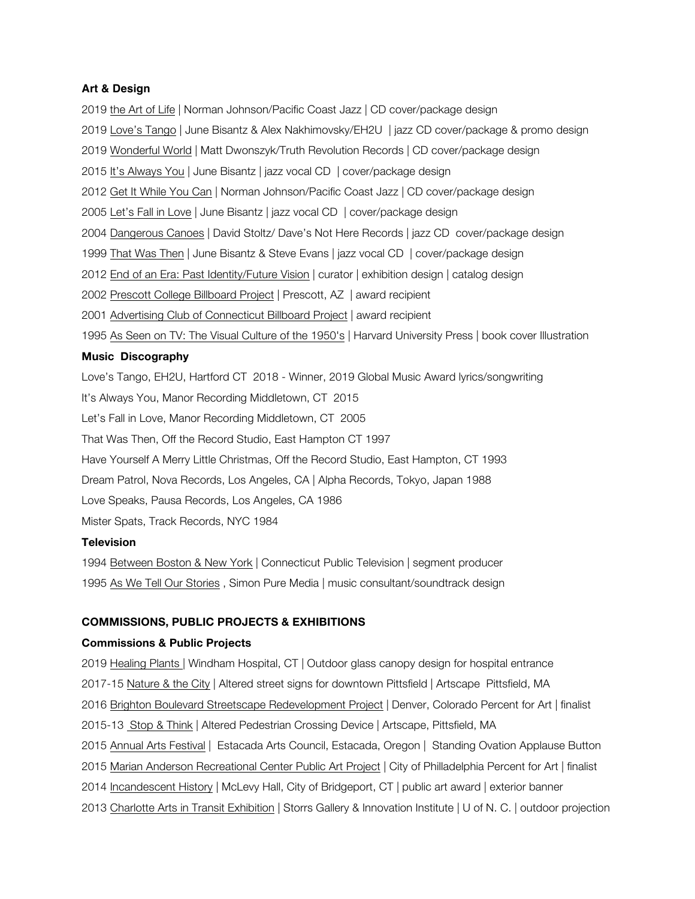#### **Art & Design**

2019 the Art of Life | Norman Johnson/Pacific Coast Jazz | CD cover/package design 2019 Love's Tango | June Bisantz & Alex Nakhimovsky/EH2U | jazz CD cover/package & promo design 2019 Wonderful World | Matt Dwonszyk/Truth Revolution Records | CD cover/package design 2015 It's Always You | June Bisantz | jazz vocal CD | cover/package design 2012 Get It While You Can | Norman Johnson/Pacific Coast Jazz | CD cover/package design 2005 Let's Fall in Love | June Bisantz | jazz vocal CD | cover/package design 2004 Dangerous Canoes | David Stoltz/ Dave's Not Here Records | jazz CD cover/package design 1999 That Was Then | June Bisantz & Steve Evans | jazz vocal CD | cover/package design 2012 End of an Era: Past Identity/Future Vision | curator | exhibition design | catalog design 2002 Prescott College Billboard Project | Prescott, AZ | award recipient 2001 Advertising Club of Connecticut Billboard Project | award recipient 1995 As Seen on TV: The Visual Culture of the 1950's | Harvard University Press | book cover Illustration **Music****Discography** Love's Tango, EH2U, Hartford CT 2018 - Winner, 2019 Global Music Award lyrics/songwriting It's Always You, Manor Recording Middletown, CT 2015 Let's Fall in Love, Manor Recording Middletown, CT 2005 That Was Then, Off the Record Studio, East Hampton CT 1997

Have Yourself A Merry Little Christmas, Off the Record Studio, East Hampton, CT 1993

Dream Patrol, Nova Records, Los Angeles, CA | Alpha Records, Tokyo, Japan 1988

Love Speaks, Pausa Records, Los Angeles, CA 1986

Mister Spats, Track Records, NYC 1984

# **Television**

1994 Between Boston & New York | Connecticut Public Television | segment producer 1995 As We Tell Our Stories , Simon Pure Media | music consultant/soundtrack design

# **COMMISSIONS, PUBLIC PROJECTS & EXHIBITIONS**

## **Commissions & Public Projects**

2019 Healing Plants | Windham Hospital, CT | Outdoor glass canopy design for hospital entrance 2017-15 Nature & the City | Altered street signs for downtown Pittsfield | Artscape Pittsfield, MA 2016 Brighton Boulevard Streetscape Redevelopment Project | Denver, Colorado Percent for Art | finalist 2015-13 Stop & Think | Altered Pedestrian Crossing Device | Artscape, Pittsfield, MA 2015 Annual Arts Festival | Estacada Arts Council, Estacada, Oregon | Standing Ovation Applause Button 2015 Marian Anderson Recreational Center Public Art Project | City of Philladelphia Percent for Art | finalist 2014 Incandescent History | McLevy Hall, City of Bridgeport, CT | public art award | exterior banner 2013 Charlotte Arts in Transit Exhibition | Storrs Gallery & Innovation Institute | U of N. C. | outdoor projection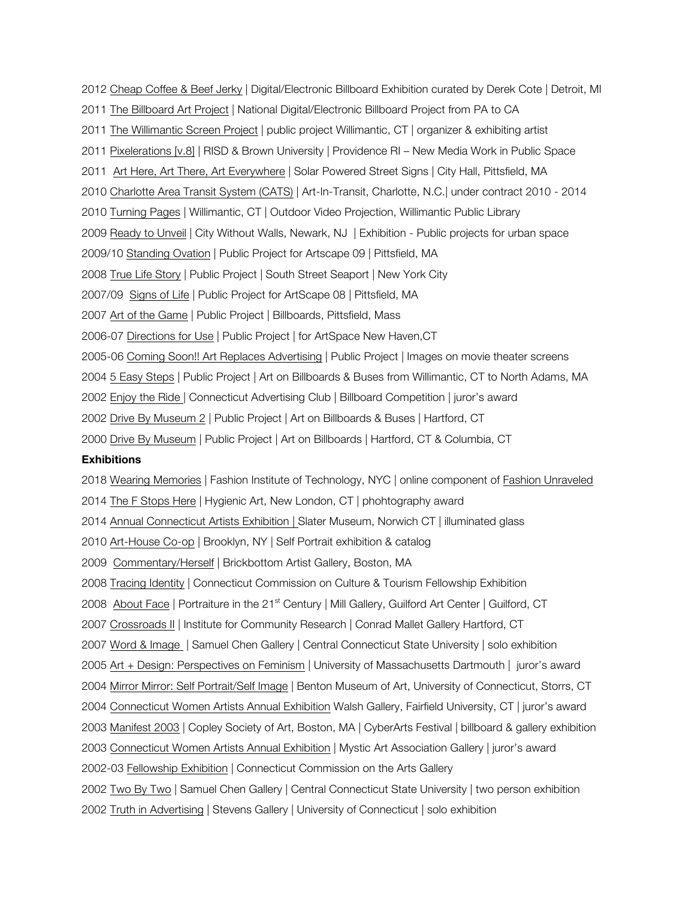2012 Cheap Coffee & Beef Jerky | Digital/Electronic Billboard Exhibition curated by Derek Cote | Detroit, MI 2011 The Billboard Art Project | National Digital/Electronic Billboard Project from PA to CA 2011 The Willimantic Screen Project | public project Willimantic, CT | organizer & exhibiting artist 2011 Pixelerations [v.8] | RISD & Brown University | Providence RI – New Media Work in Public Space 2011 Art Here, Art There, Art Everywhere | Solar Powered Street Signs | City Hall, Pittsfield, MA 2010 Charlotte Area Transit System (CATS) | Art-In-Transit, Charlotte, N.C.| under contract 2010 - 2014 2010 Turning Pages | Willimantic, CT | Outdoor Video Projection, Willimantic Public Library 2009 Ready to Unveil | City Without Walls, Newark, NJ | Exhibition - Public projects for urban space 2009/10 Standing Ovation | Public Project for Artscape 09 | Pittsfield, MA 2008 True Life Story | Public Project | South Street Seaport | New York City 2007/09 Signs of Life | Public Project for ArtScape 08 | Pittsfield, MA 2007 Art of the Game | Public Project | Billboards, Pittsfield, Mass 2006-07 Directions for Use | Public Project | for ArtSpace New Haven,CT 2005-06 Coming Soon!! Art Replaces Advertising | Public Project | Images on movie theater screens 2004 5 Easy Steps | Public Project | Art on Billboards & Buses from Willimantic, CT to North Adams, MA 2002 Enjoy the Ride | Connecticut Advertising Club | Billboard Competition | juror's award 2002 Drive By Museum 2 | Public Project | Art on Billboards & Buses | Hartford, CT 2000 Drive By Museum | Public Project | Art on Billboards | Hartford, CT & Columbia, CT

## **Exhibitions**

2018 Wearing Memories | Fashion Institute of Technology, NYC | online component of Fashion Unraveled 2014 The F Stops Here | Hygienic Art, New London, CT | phohtography award 2014 Annual Connecticut Artists Exhibition | Slater Museum, Norwich CT | illuminated glass 2010 Art-House Co-op | Brooklyn, NY | Self Portrait exhibition & catalog 2009 Commentary/Herself | Brickbottom Artist Gallery, Boston, MA 2008 Tracing Identity | Connecticut Commission on Culture & Tourism Fellowship Exhibition 2008 About Face | Portraiture in the 21<sup>st</sup> Century | Mill Gallery, Guilford Art Center | Guilford, CT 2007 Crossroads II | Institute for Community Research | Conrad Mallet Gallery Hartford, CT 2007 Word & Image | Samuel Chen Gallery | Central Connecticut State University | solo exhibition 2005 Art + Design: Perspectives on Feminism | University of Massachusetts Dartmouth | juror's award 2004 Mirror Mirror: Self Portrait/Self Image | Benton Museum of Art, University of Connecticut, Storrs, CT 2004 Connecticut Women Artists Annual Exhibition Walsh Gallery, Fairfield University, CT | juror's award 2003 Manifest 2003 | Copley Society of Art, Boston, MA | CyberArts Festival | billboard & gallery exhibition 2003 Connecticut Women Artists Annual Exhibition | Mystic Art Association Gallery | juror's award 2002-03 Fellowship Exhibition | Connecticut Commission on the Arts Gallery 2002 Two By Two | Samuel Chen Gallery | Central Connecticut State University | two person exhibition 2002 Truth in Advertising | Stevens Gallery | University of Connecticut | solo exhibition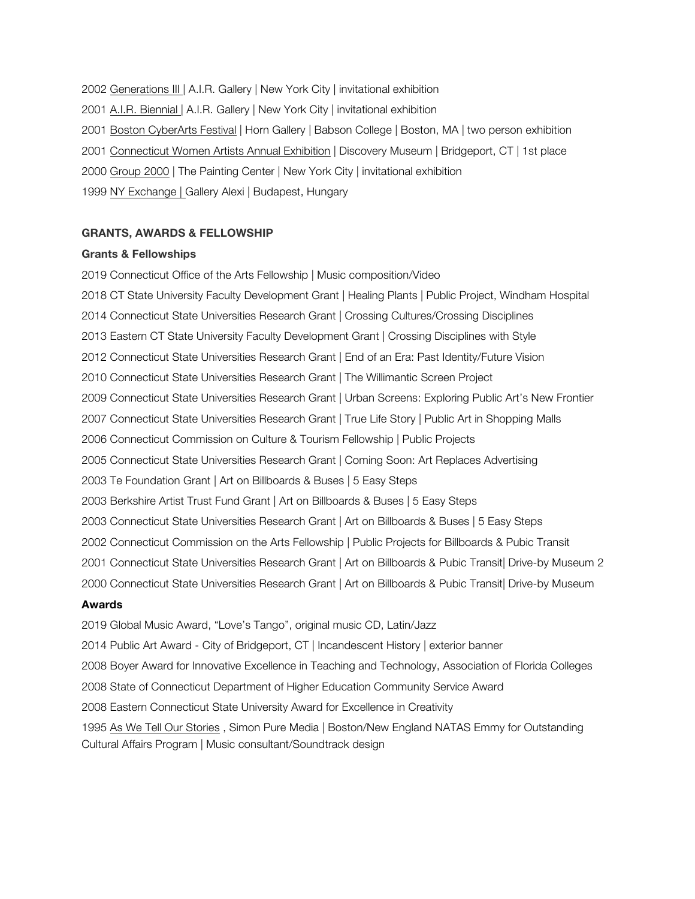2002 Generations III | A.I.R. Gallery | New York City | invitational exhibition

- 2001 A.I.R. Biennial | A.I.R. Gallery | New York City | invitational exhibition
- 2001 Boston CyberArts Festival | Horn Gallery | Babson College | Boston, MA | two person exhibition
- 2001 Connecticut Women Artists Annual Exhibition | Discovery Museum | Bridgeport, CT | 1st place
- 2000 Group 2000 | The Painting Center | New York City | invitational exhibition
- 1999 NY Exchange | Gallery Alexi | Budapest, Hungary

## **GRANTS, AWARDS & FELLOWSHIP**

#### **Grants & Fellowships**

2019 Connecticut Office of the Arts Fellowship | Music composition/Video 2018 CT State University Faculty Development Grant | Healing Plants | Public Project, Windham Hospital 2014 Connecticut State Universities Research Grant | Crossing Cultures/Crossing Disciplines 2013 Eastern CT State University Faculty Development Grant | Crossing Disciplines with Style 2012 Connecticut State Universities Research Grant | End of an Era: Past Identity/Future Vision 2010 Connecticut State Universities Research Grant | The Willimantic Screen Project 2009 Connecticut State Universities Research Grant | Urban Screens: Exploring Public Art's New Frontier 2007 Connecticut State Universities Research Grant | True Life Story | Public Art in Shopping Malls 2006 Connecticut Commission on Culture & Tourism Fellowship | Public Projects 2005 Connecticut State Universities Research Grant | Coming Soon: Art Replaces Advertising 2003 Te Foundation Grant | Art on Billboards & Buses | 5 Easy Steps 2003 Berkshire Artist Trust Fund Grant | Art on Billboards & Buses | 5 Easy Steps 2003 Connecticut State Universities Research Grant | Art on Billboards & Buses | 5 Easy Steps 2002 Connecticut Commission on the Arts Fellowship | Public Projects for Billboards & Pubic Transit 2001 Connecticut State Universities Research Grant | Art on Billboards & Pubic Transit| Drive-by Museum 2 2000 Connecticut State Universities Research Grant | Art on Billboards & Pubic Transit| Drive-by Museum **Awards**

2019 Global Music Award, "Love's Tango", original music CD, Latin/Jazz 2014 Public Art Award - City of Bridgeport, CT | Incandescent History | exterior banner 2008 Boyer Award for Innovative Excellence in Teaching and Technology, Association of Florida Colleges 2008 State of Connecticut Department of Higher Education Community Service Award 2008 Eastern Connecticut State University Award for Excellence in Creativity 1995 As We Tell Our Stories , Simon Pure Media | Boston/New England NATAS Emmy for Outstanding Cultural Affairs Program | Music consultant/Soundtrack design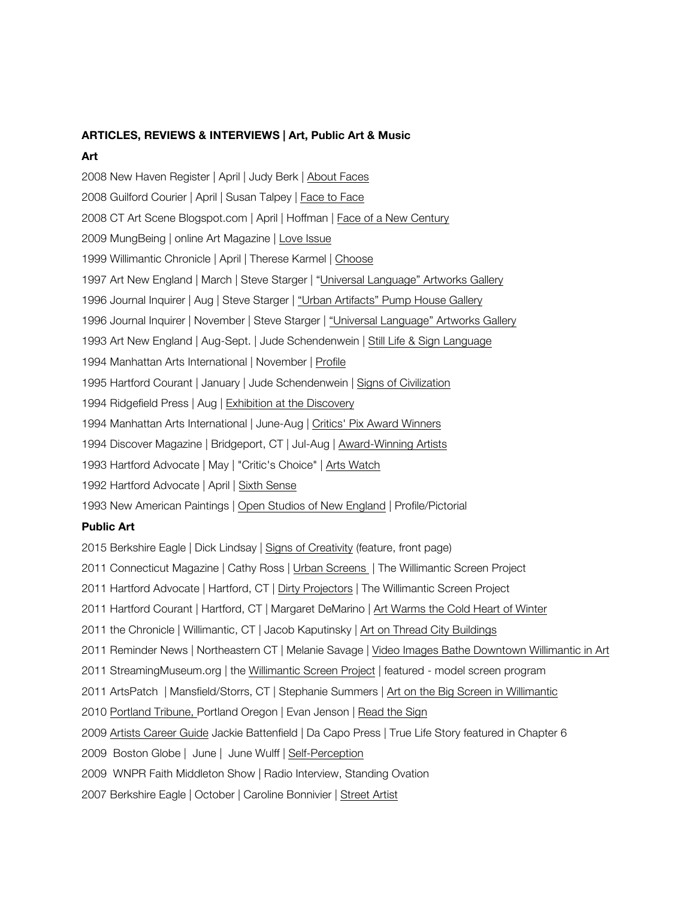# **ARTICLES, REVIEWS & INTERVIEWS | Art, Public Art & Music**

## **Art**

2008 New Haven Register | April | Judy Berk | About Faces 2008 Guilford Courier | April | Susan Talpey | Face to Face 2008 CT Art Scene Blogspot.com | April | Hoffman | Face of a New Century 2009 MungBeing | online Art Magazine | Love Issue 1999 Willimantic Chronicle | April | Therese Karmel | Choose 1997 Art New England | March | Steve Starger | "Universal Language" Artworks Gallery 1996 Journal Inquirer | Aug | Steve Starger | "Urban Artifacts" Pump House Gallery 1996 Journal Inquirer | November | Steve Starger | "Universal Language" Artworks Gallery 1993 Art New England | Aug-Sept. | Jude Schendenwein | Still Life & Sign Language 1994 Manhattan Arts International | November | Profile 1995 Hartford Courant | January | Jude Schendenwein | Signs of Civilization 1994 Ridgefield Press | Aug | Exhibition at the Discovery 1994 Manhattan Arts International | June-Aug | Critics' Pix Award Winners 1994 Discover Magazine | Bridgeport, CT | Jul-Aug | Award-Winning Artists 1993 Hartford Advocate | May | "Critic's Choice" | Arts Watch 1992 Hartford Advocate | April | Sixth Sense 1993 New American Paintings | Open Studios of New England | Profile/Pictorial **Public Art** 2015 Berkshire Eagle | Dick Lindsay | Signs of Creativity (feature, front page) 2011 Connecticut Magazine | Cathy Ross | Urban Screens | The Willimantic Screen Project 2011 Hartford Advocate | Hartford, CT | Dirty Projectors | The Willimantic Screen Project 2011 Hartford Courant | Hartford, CT | Margaret DeMarino | Art Warms the Cold Heart of Winter 2011 the Chronicle | Willimantic, CT | Jacob Kaputinsky | Art on Thread City Buildings 2011 Reminder News | Northeastern CT | Melanie Savage | Video Images Bathe Downtown Willimantic in Art 2011 StreamingMuseum.org | the Willimantic Screen Project | featured - model screen program 2011 ArtsPatch | Mansfield/Storrs, CT | Stephanie Summers | Art on the Big Screen in Willimantic

- 2010 Portland Tribune, Portland Oregon | Evan Jenson | Read the Sign
- 2009 Artists Career Guide Jackie Battenfield | Da Capo Press | True Life Story featured in Chapter 6
- 2009 Boston Globe | June | June Wulff | Self-Perception
- 2009 WNPR Faith Middleton Show | Radio Interview, Standing Ovation
- 2007 Berkshire Eagle | October | Caroline Bonnivier | Street Artist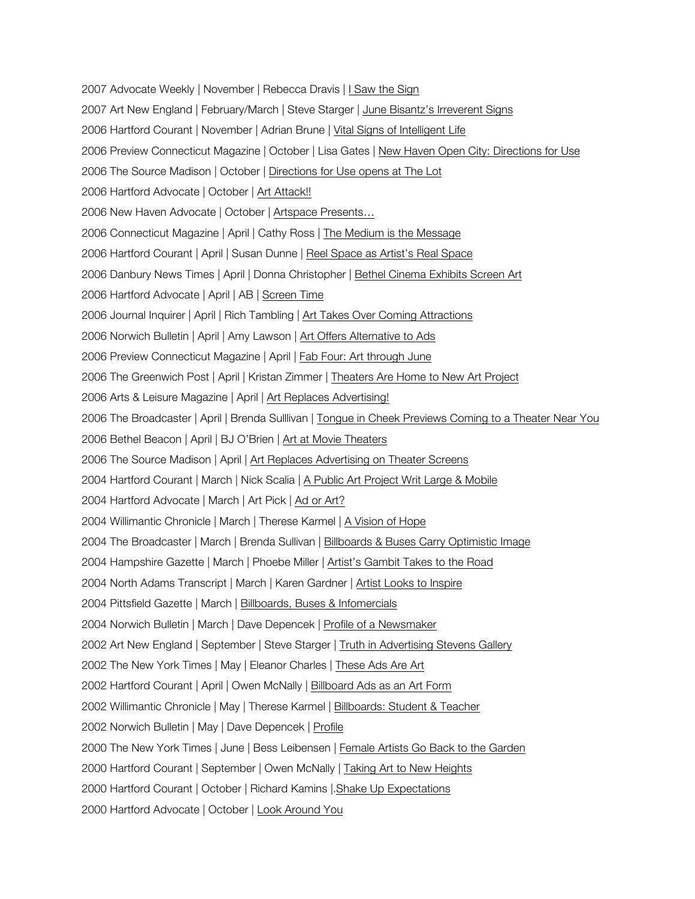2007 Advocate Weekly | November | Rebecca Dravis | I Saw the Sign 2007 Art New England | February/March | Steve Starger | June Bisantz's Irreverent Signs 2006 Hartford Courant | November | Adrian Brune | Vital Signs of Intelligent Life 2006 Preview Connecticut Magazine | October | Lisa Gates | New Haven Open City: Directions for Use 2006 The Source Madison | October | Directions for Use opens at The Lot 2006 Hartford Advocate | October | Art Attack!! 2006 New Haven Advocate | October | Artspace Presents… 2006 Connecticut Magazine | April | Cathy Ross | The Medium is the Message 2006 Hartford Courant | April | Susan Dunne | Reel Space as Artist's Real Space 2006 Danbury News Times | April | Donna Christopher | Bethel Cinema Exhibits Screen Art 2006 Hartford Advocate | April | AB | Screen Time 2006 Journal Inquirer | April | Rich Tambling | Art Takes Over Coming Attractions 2006 Norwich Bulletin | April | Amy Lawson | Art Offers Alternative to Ads 2006 Preview Connecticut Magazine | April | Fab Four: Art through June 2006 The Greenwich Post | April | Kristan Zimmer | Theaters Are Home to New Art Project 2006 Arts & Leisure Magazine | April | Art Replaces Advertising! 2006 The Broadcaster | April | Brenda Sulllivan | Tongue in Cheek Previews Coming to a Theater Near You 2006 Bethel Beacon | April | BJ O'Brien | Art at Movie Theaters 2006 The Source Madison | April | Art Replaces Advertising on Theater Screens 2004 Hartford Courant | March | Nick Scalia | A Public Art Project Writ Large & Mobile 2004 Hartford Advocate | March | Art Pick | Ad or Art? 2004 Willimantic Chronicle | March | Therese Karmel | A Vision of Hope 2004 The Broadcaster | March | Brenda Sullivan | Billboards & Buses Carry Optimistic Image 2004 Hampshire Gazette | March | Phoebe Miller | Artist's Gambit Takes to the Road 2004 North Adams Transcript | March | Karen Gardner | Artist Looks to Inspire 2004 Pittsfield Gazette | March | Billboards, Buses & Infomercials 2004 Norwich Bulletin | March | Dave Depencek | Profile of a Newsmaker 2002 Art New England | September | Steve Starger | Truth in Advertising Stevens Gallery 2002 The New York Times | May | Eleanor Charles | These Ads Are Art 2002 Hartford Courant | April | Owen McNally | Billboard Ads as an Art Form 2002 Willimantic Chronicle | May | Therese Karmel | Billboards: Student & Teacher 2002 Norwich Bulletin | May | Dave Depencek | Profile 2000 The New York Times | June | Bess Leibensen | Female Artists Go Back to the Garden 2000 Hartford Courant | September | Owen McNally | Taking Art to New Heights 2000 Hartford Courant | October | Richard Kamins |.Shake Up Expectations 2000 Hartford Advocate | October | Look Around You